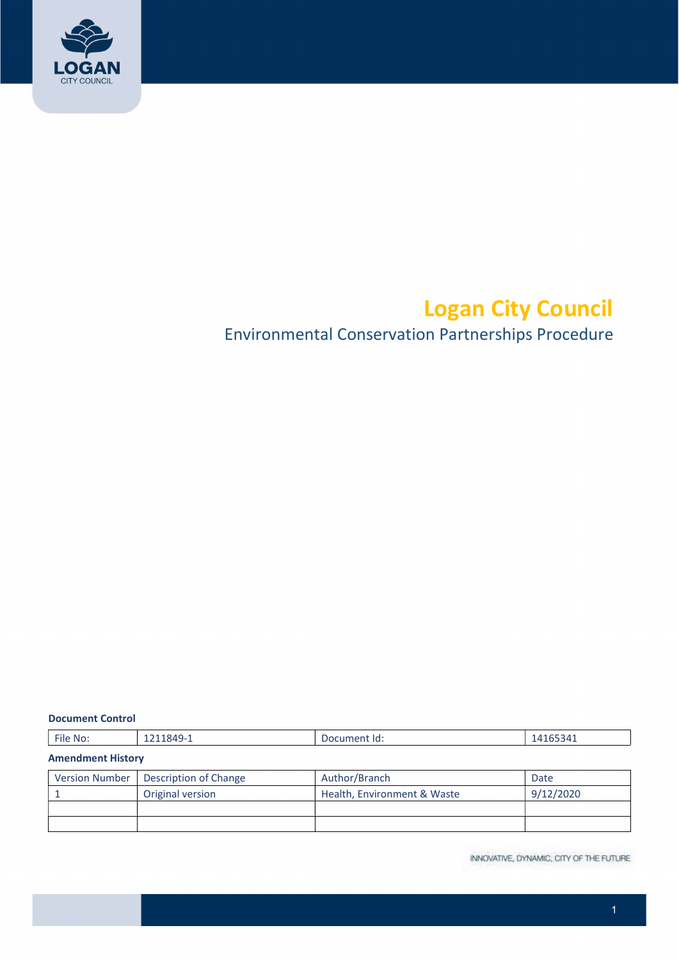

# Logan City Council

## Environmental Conservation Partnerships Procedure

| <b>Document Control</b> |  |
|-------------------------|--|
|-------------------------|--|

| File No:                 |  | Document Id: | 14165341 |  |  |  |
|--------------------------|--|--------------|----------|--|--|--|
| <b>Amendment History</b> |  |              |          |  |  |  |

| Version Number   Description of Change | Author/Branch               | Date      |
|----------------------------------------|-----------------------------|-----------|
| Original version                       | Health, Environment & Waste | 9/12/2020 |
|                                        |                             |           |
|                                        |                             |           |

INNOVATIVE, DYNAMIC, CITY OF THE FUTURE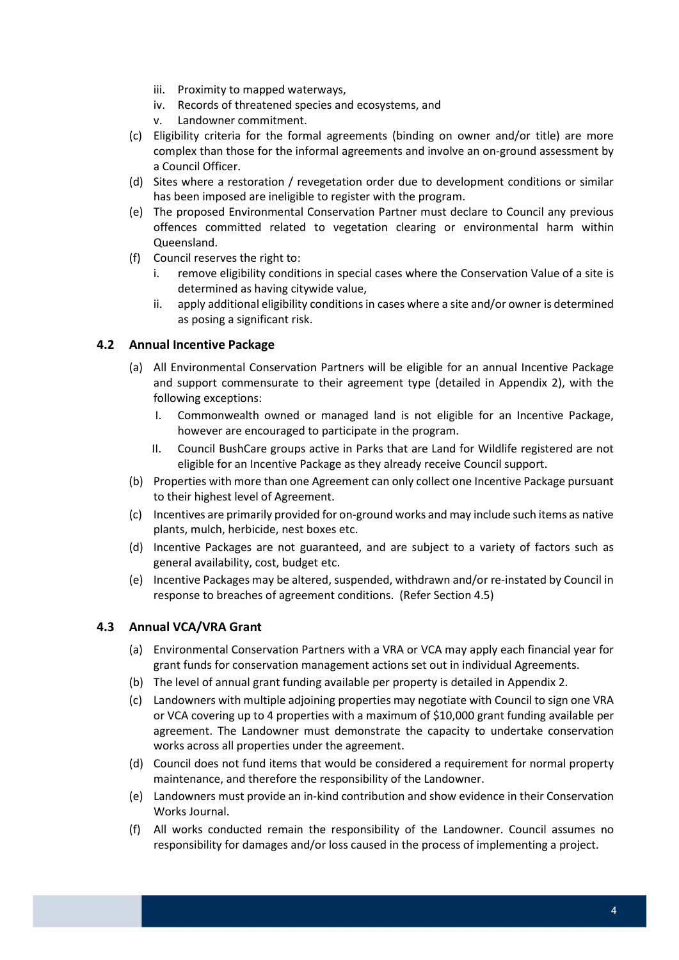- iii. Proximity to mapped waterways,
- iv. Records of threatened species and ecosystems, and
- v. Landowner commitment.
- (c) Eligibility criteria for the formal agreements (binding on owner and/or title) are more complex than those for the informal agreements and involve an on-ground assessment by a Council Officer.
- (d) Sites where a restoration / revegetation order due to development conditions or similar has been imposed are ineligible to register with the program.
- (e) The proposed Environmental Conservation Partner must declare to Council any previous offences committed related to vegetation clearing or environmental harm within Queensland.
- (f) Council reserves the right to:
	- i. remove eligibility conditions in special cases where the Conservation Value of a site is determined as having citywide value,
	- ii. apply additional eligibility conditions in cases where a site and/or owner is determined as posing a significant risk.

## 4.2 Annual Incentive Package

- (a) All Environmental Conservation Partners will be eligible for an annual Incentive Package and support commensurate to their agreement type (detailed in Appendix 2), with the following exceptions:
	- I. Commonwealth owned or managed land is not eligible for an Incentive Package, however are encouraged to participate in the program.
	- II. Council BushCare groups active in Parks that are Land for Wildlife registered are not eligible for an Incentive Package as they already receive Council support.
- (b) Properties with more than one Agreement can only collect one Incentive Package pursuant to their highest level of Agreement.
- (c) Incentives are primarily provided for on-ground works and may include such items as native plants, mulch, herbicide, nest boxes etc.
- (d) Incentive Packages are not guaranteed, and are subject to a variety of factors such as general availability, cost, budget etc.
- (e) Incentive Packages may be altered, suspended, withdrawn and/or re-instated by Council in response to breaches of agreement conditions. (Refer Section 4.5)

## 4.3 Annual VCA/VRA Grant

- (a) Environmental Conservation Partners with a VRA or VCA may apply each financial year for grant funds for conservation management actions set out in individual Agreements.
- (b) The level of annual grant funding available per property is detailed in Appendix 2.
- (c) Landowners with multiple adjoining properties may negotiate with Council to sign one VRA or VCA covering up to 4 properties with a maximum of \$10,000 grant funding available per agreement. The Landowner must demonstrate the capacity to undertake conservation works across all properties under the agreement.
- (d) Council does not fund items that would be considered a requirement for normal property maintenance, and therefore the responsibility of the Landowner.
- (e) Landowners must provide an in-kind contribution and show evidence in their Conservation Works Journal.
- (f) All works conducted remain the responsibility of the Landowner. Council assumes no responsibility for damages and/or loss caused in the process of implementing a project.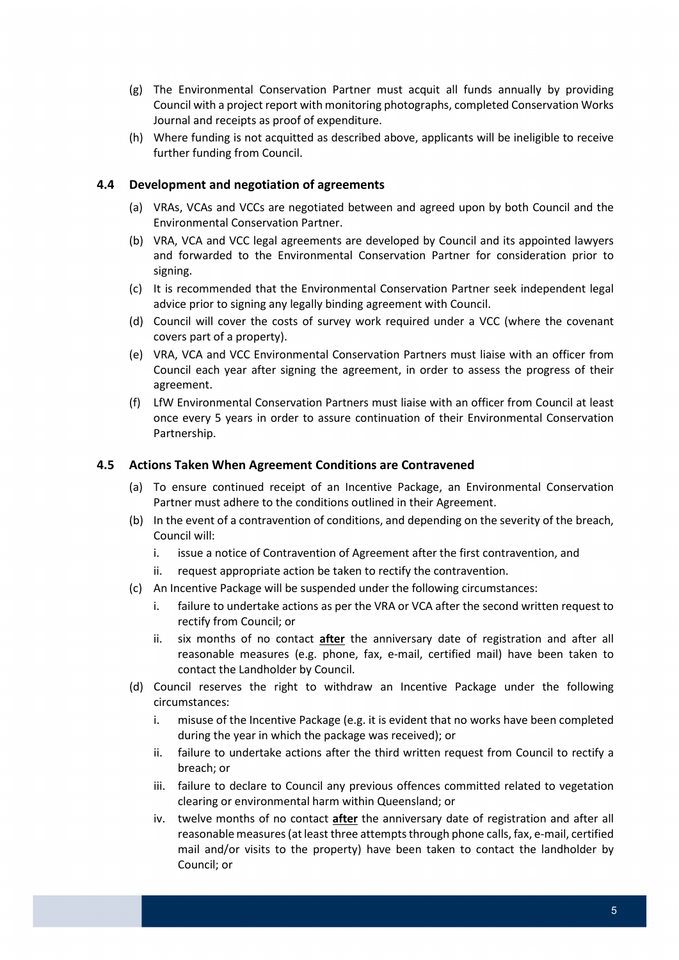- (g) The Environmental Conservation Partner must acquit all funds annually by providing Council with a project report with monitoring photographs, completed Conservation Works Journal and receipts as proof of expenditure.
- (h) Where funding is not acquitted as described above, applicants will be ineligible to receive further funding from Council.

## 4.4 Development and negotiation of agreements

- (a) VRAs, VCAs and VCCs are negotiated between and agreed upon by both Council and the Environmental Conservation Partner.
- (b) VRA, VCA and VCC legal agreements are developed by Council and its appointed lawyers and forwarded to the Environmental Conservation Partner for consideration prior to signing.
- (c) It is recommended that the Environmental Conservation Partner seek independent legal advice prior to signing any legally binding agreement with Council.
- (d) Council will cover the costs of survey work required under a VCC (where the covenant covers part of a property).
- (e) VRA, VCA and VCC Environmental Conservation Partners must liaise with an officer from Council each year after signing the agreement, in order to assess the progress of their agreement.
- (f) LfW Environmental Conservation Partners must liaise with an officer from Council at least once every 5 years in order to assure continuation of their Environmental Conservation Partnership.

#### 4.5 Actions Taken When Agreement Conditions are Contravened

- (a) To ensure continued receipt of an Incentive Package, an Environmental Conservation Partner must adhere to the conditions outlined in their Agreement.
- (b) In the event of a contravention of conditions, and depending on the severity of the breach, Council will:
	- i. issue a notice of Contravention of Agreement after the first contravention, and
	- ii. request appropriate action be taken to rectify the contravention.
- (c) An Incentive Package will be suspended under the following circumstances:
	- i. failure to undertake actions as per the VRA or VCA after the second written request to rectify from Council; or
	- ii. six months of no contact *after* the anniversary date of registration and after all reasonable measures (e.g. phone, fax, e-mail, certified mail) have been taken to contact the Landholder by Council.
- (d) Council reserves the right to withdraw an Incentive Package under the following circumstances:
	- i. misuse of the Incentive Package (e.g. it is evident that no works have been completed during the year in which the package was received); or
	- ii. failure to undertake actions after the third written request from Council to rectify a breach; or
	- iii. failure to declare to Council any previous offences committed related to vegetation clearing or environmental harm within Queensland; or
	- iv. twelve months of no contact after the anniversary date of registration and after all reasonable measures (at least three attempts through phone calls, fax, e-mail, certified mail and/or visits to the property) have been taken to contact the landholder by Council; or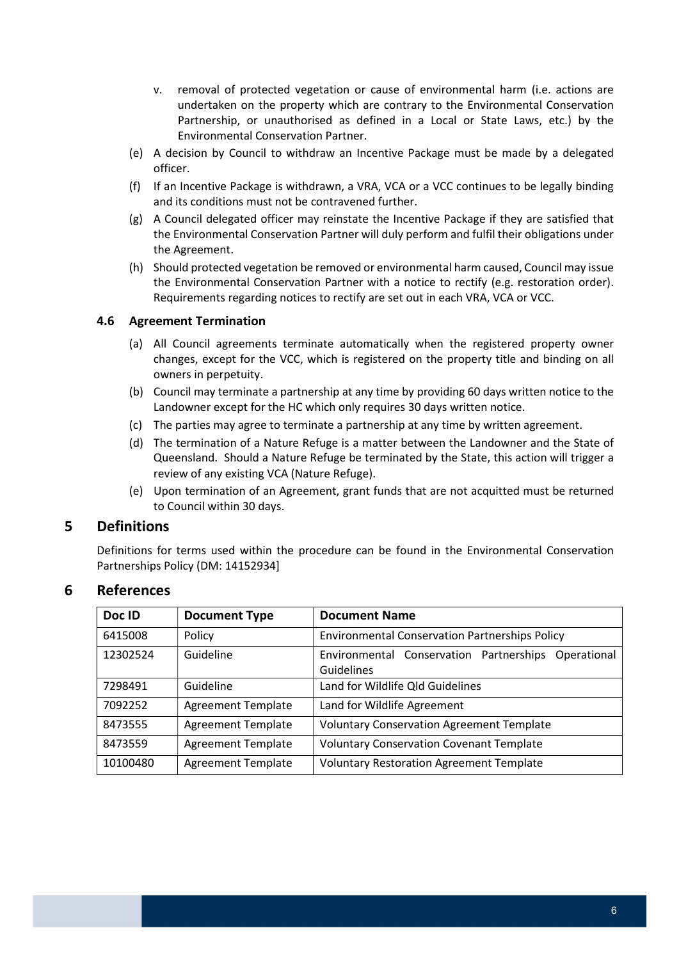- v. removal of protected vegetation or cause of environmental harm (i.e. actions are undertaken on the property which are contrary to the Environmental Conservation Partnership, or unauthorised as defined in a Local or State Laws, etc.) by the Environmental Conservation Partner.
- (e) A decision by Council to withdraw an Incentive Package must be made by a delegated officer.
- (f) If an Incentive Package is withdrawn, a VRA, VCA or a VCC continues to be legally binding and its conditions must not be contravened further.
- (g) A Council delegated officer may reinstate the Incentive Package if they are satisfied that the Environmental Conservation Partner will duly perform and fulfil their obligations under the Agreement.
- (h) Should protected vegetation be removed or environmental harm caused, Council may issue the Environmental Conservation Partner with a notice to rectify (e.g. restoration order). Requirements regarding notices to rectify are set out in each VRA, VCA or VCC.

### 4.6 Agreement Termination

- (a) All Council agreements terminate automatically when the registered property owner changes, except for the VCC, which is registered on the property title and binding on all owners in perpetuity.
- (b) Council may terminate a partnership at any time by providing 60 days written notice to the Landowner except for the HC which only requires 30 days written notice.
- (c) The parties may agree to terminate a partnership at any time by written agreement.
- (d) The termination of a Nature Refuge is a matter between the Landowner and the State of Queensland. Should a Nature Refuge be terminated by the State, this action will trigger a review of any existing VCA (Nature Refuge).
- (e) Upon termination of an Agreement, grant funds that are not acquitted must be returned to Council within 30 days.

## 5 Definitions

 Definitions for terms used within the procedure can be found in the Environmental Conservation Partnerships Policy (DM: 14152934]

## 6 References

| Doc ID   | <b>Document Type</b>      | <b>Document Name</b>                                              |  |  |  |  |  |
|----------|---------------------------|-------------------------------------------------------------------|--|--|--|--|--|
| 6415008  | Policy                    | <b>Environmental Conservation Partnerships Policy</b>             |  |  |  |  |  |
| 12302524 | Guideline                 | Environmental Conservation Partnerships Operational<br>Guidelines |  |  |  |  |  |
| 7298491  | Guideline                 | Land for Wildlife Qld Guidelines                                  |  |  |  |  |  |
| 7092252  | <b>Agreement Template</b> | Land for Wildlife Agreement                                       |  |  |  |  |  |
| 8473555  | <b>Agreement Template</b> | <b>Voluntary Conservation Agreement Template</b>                  |  |  |  |  |  |
| 8473559  | <b>Agreement Template</b> | <b>Voluntary Conservation Covenant Template</b>                   |  |  |  |  |  |
| 10100480 | <b>Agreement Template</b> | <b>Voluntary Restoration Agreement Template</b>                   |  |  |  |  |  |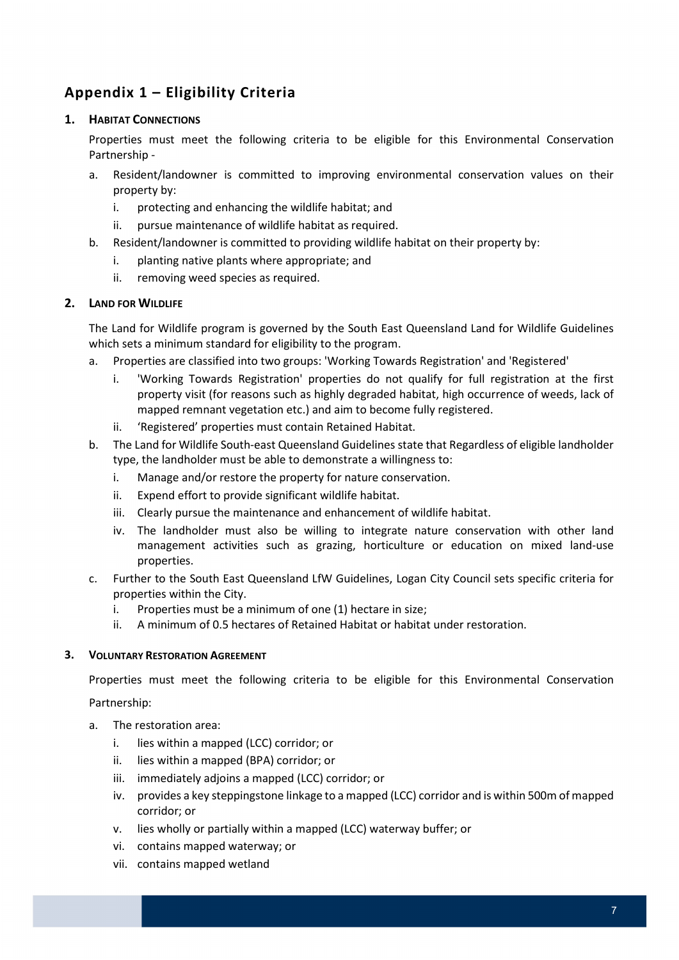## Appendix 1 – Eligibility Criteria

## 1. HABITAT CONNECTIONS

 Properties must meet the following criteria to be eligible for this Environmental Conservation Partnership -

- a. Resident/landowner is committed to improving environmental conservation values on their property by:
	- i. protecting and enhancing the wildlife habitat; and
	- ii. pursue maintenance of wildlife habitat as required.
- b. Resident/landowner is committed to providing wildlife habitat on their property by:
	- i. planting native plants where appropriate; and
	- ii. removing weed species as required.

## 2. LAND FOR WILDLIFE

 The Land for Wildlife program is governed by the South East Queensland Land for Wildlife Guidelines which sets a minimum standard for eligibility to the program.

- a. Properties are classified into two groups: 'Working Towards Registration' and 'Registered'
	- i. 'Working Towards Registration' properties do not qualify for full registration at the first property visit (for reasons such as highly degraded habitat, high occurrence of weeds, lack of mapped remnant vegetation etc.) and aim to become fully registered.
	- ii. 'Registered' properties must contain Retained Habitat.
- b. The Land for Wildlife South-east Queensland Guidelines state that Regardless of eligible landholder type, the landholder must be able to demonstrate a willingness to:
	- i. Manage and/or restore the property for nature conservation.
	- ii. Expend effort to provide significant wildlife habitat.
	- iii. Clearly pursue the maintenance and enhancement of wildlife habitat.
	- iv. The landholder must also be willing to integrate nature conservation with other land management activities such as grazing, horticulture or education on mixed land-use properties.
- c. Further to the South East Queensland LfW Guidelines, Logan City Council sets specific criteria for properties within the City.
	- i. Properties must be a minimum of one (1) hectare in size;
	- ii. A minimum of 0.5 hectares of Retained Habitat or habitat under restoration.

#### 3. VOLUNTARY RESTORATION AGREEMENT

Properties must meet the following criteria to be eligible for this Environmental Conservation

Partnership:

- a. The restoration area:
	- i. lies within a mapped (LCC) corridor; or
	- ii. lies within a mapped (BPA) corridor; or
	- iii. immediately adjoins a mapped (LCC) corridor; or
	- iv. provides a key steppingstone linkage to a mapped (LCC) corridor and is within 500m of mapped corridor; or
	- v. lies wholly or partially within a mapped (LCC) waterway buffer; or
	- vi. contains mapped waterway; or
	- vii. contains mapped wetland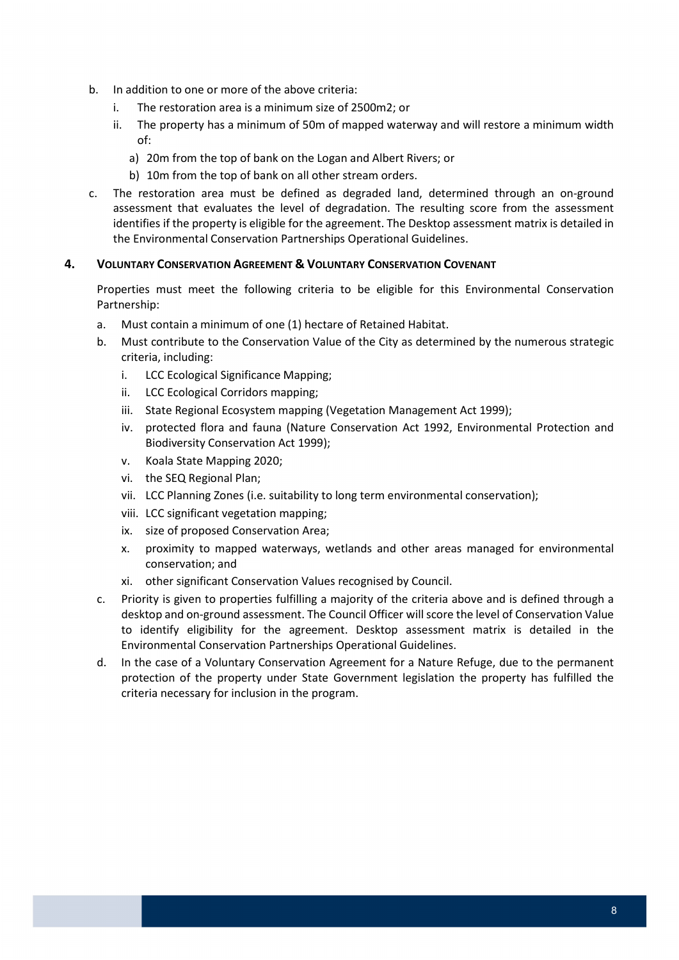- b. In addition to one or more of the above criteria:
	- i. The restoration area is a minimum size of 2500m2; or
	- ii. The property has a minimum of 50m of mapped waterway and will restore a minimum width of:
		- a) 20m from the top of bank on the Logan and Albert Rivers; or
		- b) 10m from the top of bank on all other stream orders.
- c. The restoration area must be defined as degraded land, determined through an on-ground assessment that evaluates the level of degradation. The resulting score from the assessment identifies if the property is eligible for the agreement. The Desktop assessment matrix is detailed in the Environmental Conservation Partnerships Operational Guidelines.

### 4. VOLUNTARY CONSERVATION AGREEMENT & VOLUNTARY CONSERVATION COVENANT

 Properties must meet the following criteria to be eligible for this Environmental Conservation Partnership:

- a. Must contain a minimum of one (1) hectare of Retained Habitat.
- b. Must contribute to the Conservation Value of the City as determined by the numerous strategic criteria, including:
	- i. LCC Ecological Significance Mapping;
	- ii. LCC Ecological Corridors mapping;
	- iii. State Regional Ecosystem mapping (Vegetation Management Act 1999);
	- iv. protected flora and fauna (Nature Conservation Act 1992, Environmental Protection and Biodiversity Conservation Act 1999);
	- v. Koala State Mapping 2020;
	- vi. the SEQ Regional Plan;
	- vii. LCC Planning Zones (i.e. suitability to long term environmental conservation);
	- viii. LCC significant vegetation mapping;
	- ix. size of proposed Conservation Area;
	- x. proximity to mapped waterways, wetlands and other areas managed for environmental conservation; and
	- xi. other significant Conservation Values recognised by Council.
- c. Priority is given to properties fulfilling a majority of the criteria above and is defined through a desktop and on-ground assessment. The Council Officer will score the level of Conservation Value to identify eligibility for the agreement. Desktop assessment matrix is detailed in the Environmental Conservation Partnerships Operational Guidelines.
- d. In the case of a Voluntary Conservation Agreement for a Nature Refuge, due to the permanent protection of the property under State Government legislation the property has fulfilled the criteria necessary for inclusion in the program.